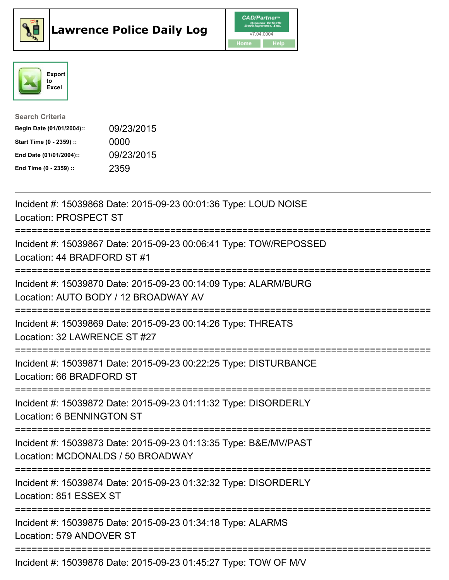





| <b>Search Criteria</b>    |            |
|---------------------------|------------|
| Begin Date (01/01/2004):: | 09/23/2015 |
| Start Time (0 - 2359) ::  | 0000       |
| End Date (01/01/2004)::   | 09/23/2015 |
| End Time (0 - 2359) ::    | 2359       |

| Incident #: 15039868 Date: 2015-09-23 00:01:36 Type: LOUD NOISE<br><b>Location: PROSPECT ST</b>                                              |
|----------------------------------------------------------------------------------------------------------------------------------------------|
| Incident #: 15039867 Date: 2015-09-23 00:06:41 Type: TOW/REPOSSED<br>Location: 44 BRADFORD ST #1<br>--------------                           |
| Incident #: 15039870 Date: 2015-09-23 00:14:09 Type: ALARM/BURG<br>Location: AUTO BODY / 12 BROADWAY AV                                      |
| Incident #: 15039869 Date: 2015-09-23 00:14:26 Type: THREATS<br>Location: 32 LAWRENCE ST #27                                                 |
| Incident #: 15039871 Date: 2015-09-23 00:22:25 Type: DISTURBANCE<br>Location: 66 BRADFORD ST                                                 |
| Incident #: 15039872 Date: 2015-09-23 01:11:32 Type: DISORDERLY<br><b>Location: 6 BENNINGTON ST</b><br>===================================== |
| Incident #: 15039873 Date: 2015-09-23 01:13:35 Type: B&E/MV/PAST<br>Location: MCDONALDS / 50 BROADWAY<br>===============================     |
| Incident #: 15039874 Date: 2015-09-23 01:32:32 Type: DISORDERLY<br>Location: 851 ESSEX ST                                                    |
| Incident #: 15039875 Date: 2015-09-23 01:34:18 Type: ALARMS<br>Location: 579 ANDOVER ST                                                      |
| Incident #: 15039876 Date: 2015-09-23 01:45:27 Type: TOW OF M/V                                                                              |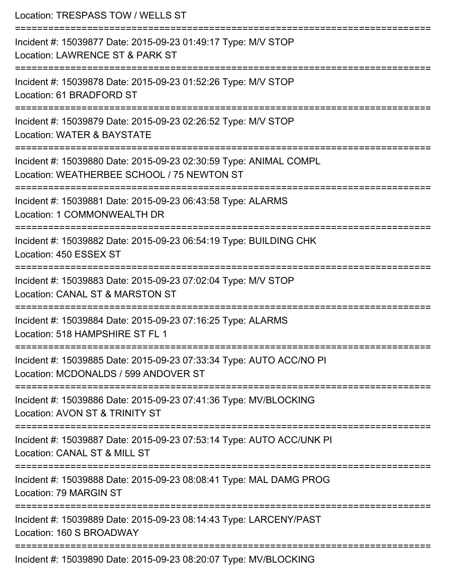| Location: TRESPASS TOW / WELLS ST                                                                                                                        |
|----------------------------------------------------------------------------------------------------------------------------------------------------------|
| Incident #: 15039877 Date: 2015-09-23 01:49:17 Type: M/V STOP<br>Location: LAWRENCE ST & PARK ST<br>=====================================                |
| Incident #: 15039878 Date: 2015-09-23 01:52:26 Type: M/V STOP<br>Location: 61 BRADFORD ST                                                                |
| Incident #: 15039879 Date: 2015-09-23 02:26:52 Type: M/V STOP<br>Location: WATER & BAYSTATE<br>:=================================<br>=================== |
| Incident #: 15039880 Date: 2015-09-23 02:30:59 Type: ANIMAL COMPL<br>Location: WEATHERBEE SCHOOL / 75 NEWTON ST<br>========================              |
| Incident #: 15039881 Date: 2015-09-23 06:43:58 Type: ALARMS<br>Location: 1 COMMONWEALTH DR                                                               |
| =====================================<br>Incident #: 15039882 Date: 2015-09-23 06:54:19 Type: BUILDING CHK<br>Location: 450 ESSEX ST                     |
| Incident #: 15039883 Date: 2015-09-23 07:02:04 Type: M/V STOP<br>Location: CANAL ST & MARSTON ST                                                         |
| Incident #: 15039884 Date: 2015-09-23 07:16:25 Type: ALARMS<br>Location: 518 HAMPSHIRE ST FL 1                                                           |
| Incident #: 15039885 Date: 2015-09-23 07:33:34 Type: AUTO ACC/NO PI<br>Location: MCDONALDS / 599 ANDOVER ST                                              |
| Incident #: 15039886 Date: 2015-09-23 07:41:36 Type: MV/BLOCKING<br>Location: AVON ST & TRINITY ST                                                       |
| Incident #: 15039887 Date: 2015-09-23 07:53:14 Type: AUTO ACC/UNK PI<br>Location: CANAL ST & MILL ST                                                     |
| Incident #: 15039888 Date: 2015-09-23 08:08:41 Type: MAL DAMG PROG<br>Location: 79 MARGIN ST                                                             |
| Incident #: 15039889 Date: 2015-09-23 08:14:43 Type: LARCENY/PAST<br>Location: 160 S BROADWAY                                                            |
| Incident #: 15039890 Date: 2015-09-23 08:20:07 Type: MV/BLOCKING                                                                                         |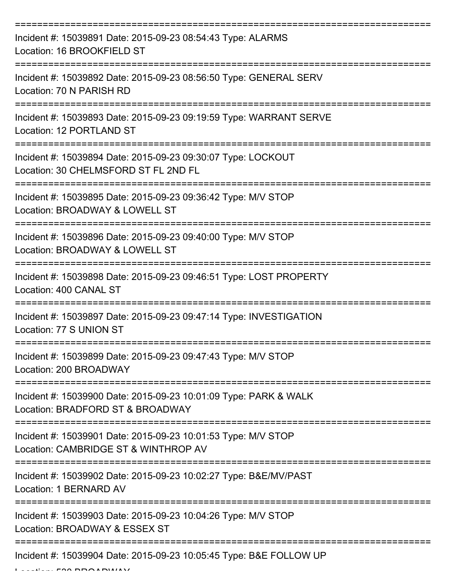| Incident #: 15039891 Date: 2015-09-23 08:54:43 Type: ALARMS<br>Location: 16 BROOKFIELD ST                               |
|-------------------------------------------------------------------------------------------------------------------------|
| Incident #: 15039892 Date: 2015-09-23 08:56:50 Type: GENERAL SERV<br>Location: 70 N PARISH RD                           |
| Incident #: 15039893 Date: 2015-09-23 09:19:59 Type: WARRANT SERVE<br>Location: 12 PORTLAND ST                          |
| Incident #: 15039894 Date: 2015-09-23 09:30:07 Type: LOCKOUT<br>Location: 30 CHELMSFORD ST FL 2ND FL                    |
| Incident #: 15039895 Date: 2015-09-23 09:36:42 Type: M/V STOP<br>Location: BROADWAY & LOWELL ST<br>:=================== |
| Incident #: 15039896 Date: 2015-09-23 09:40:00 Type: M/V STOP<br>Location: BROADWAY & LOWELL ST                         |
| Incident #: 15039898 Date: 2015-09-23 09:46:51 Type: LOST PROPERTY<br>Location: 400 CANAL ST                            |
| Incident #: 15039897 Date: 2015-09-23 09:47:14 Type: INVESTIGATION<br>Location: 77 S UNION ST                           |
| Incident #: 15039899 Date: 2015-09-23 09:47:43 Type: M/V STOP<br>Location: 200 BROADWAY                                 |
| Incident #: 15039900 Date: 2015-09-23 10:01:09 Type: PARK & WALK<br>Location: BRADFORD ST & BROADWAY                    |
| Incident #: 15039901 Date: 2015-09-23 10:01:53 Type: M/V STOP<br>Location: CAMBRIDGE ST & WINTHROP AV                   |
| Incident #: 15039902 Date: 2015-09-23 10:02:27 Type: B&E/MV/PAST<br>Location: 1 BERNARD AV                              |
| Incident #: 15039903 Date: 2015-09-23 10:04:26 Type: M/V STOP<br>Location: BROADWAY & ESSEX ST                          |
| Incident #: 15039904 Date: 2015-09-23 10:05:45 Type: B&E FOLLOW UP                                                      |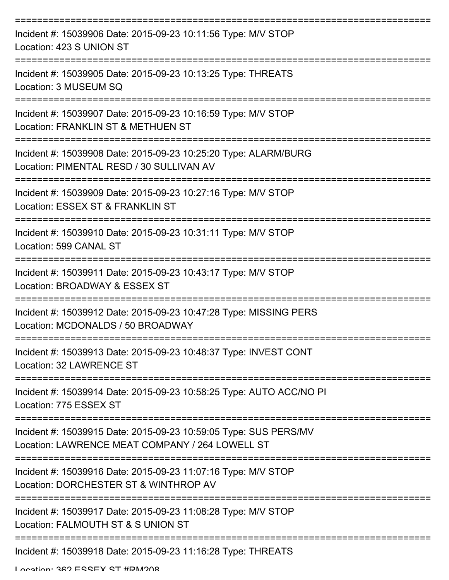| Incident #: 15039906 Date: 2015-09-23 10:11:56 Type: M/V STOP<br>Location: 423 S UNION ST                           |
|---------------------------------------------------------------------------------------------------------------------|
| Incident #: 15039905 Date: 2015-09-23 10:13:25 Type: THREATS<br>Location: 3 MUSEUM SQ                               |
| Incident #: 15039907 Date: 2015-09-23 10:16:59 Type: M/V STOP<br>Location: FRANKLIN ST & METHUEN ST                 |
| Incident #: 15039908 Date: 2015-09-23 10:25:20 Type: ALARM/BURG<br>Location: PIMENTAL RESD / 30 SULLIVAN AV         |
| Incident #: 15039909 Date: 2015-09-23 10:27:16 Type: M/V STOP<br>Location: ESSEX ST & FRANKLIN ST                   |
| Incident #: 15039910 Date: 2015-09-23 10:31:11 Type: M/V STOP<br>Location: 599 CANAL ST                             |
| Incident #: 15039911 Date: 2015-09-23 10:43:17 Type: M/V STOP<br>Location: BROADWAY & ESSEX ST                      |
| Incident #: 15039912 Date: 2015-09-23 10:47:28 Type: MISSING PERS<br>Location: MCDONALDS / 50 BROADWAY              |
| Incident #: 15039913 Date: 2015-09-23 10:48:37 Type: INVEST CONT<br>Location: 32 LAWRENCE ST                        |
| Incident #: 15039914 Date: 2015-09-23 10:58:25 Type: AUTO ACC/NO PI<br>Location: 775 ESSEX ST                       |
| Incident #: 15039915 Date: 2015-09-23 10:59:05 Type: SUS PERS/MV<br>Location: LAWRENCE MEAT COMPANY / 264 LOWELL ST |
| Incident #: 15039916 Date: 2015-09-23 11:07:16 Type: M/V STOP<br>Location: DORCHESTER ST & WINTHROP AV              |
| Incident #: 15039917 Date: 2015-09-23 11:08:28 Type: M/V STOP<br>Location: FALMOUTH ST & S UNION ST                 |
| Incident #: 15039918 Date: 2015-09-23 11:16:28 Type: THREATS                                                        |

Location: 262 ECCEY CT #DM200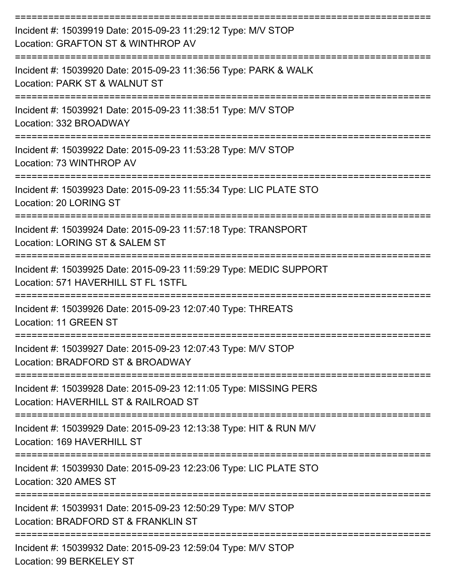| Incident #: 15039919 Date: 2015-09-23 11:29:12 Type: M/V STOP<br>Location: GRAFTON ST & WINTHROP AV       |
|-----------------------------------------------------------------------------------------------------------|
| Incident #: 15039920 Date: 2015-09-23 11:36:56 Type: PARK & WALK<br>Location: PARK ST & WALNUT ST         |
| Incident #: 15039921 Date: 2015-09-23 11:38:51 Type: M/V STOP<br>Location: 332 BROADWAY                   |
| Incident #: 15039922 Date: 2015-09-23 11:53:28 Type: M/V STOP<br>Location: 73 WINTHROP AV                 |
| Incident #: 15039923 Date: 2015-09-23 11:55:34 Type: LIC PLATE STO<br>Location: 20 LORING ST              |
| Incident #: 15039924 Date: 2015-09-23 11:57:18 Type: TRANSPORT<br>Location: LORING ST & SALEM ST          |
| Incident #: 15039925 Date: 2015-09-23 11:59:29 Type: MEDIC SUPPORT<br>Location: 571 HAVERHILL ST FL 1STFL |
| Incident #: 15039926 Date: 2015-09-23 12:07:40 Type: THREATS<br>Location: 11 GREEN ST                     |
| Incident #: 15039927 Date: 2015-09-23 12:07:43 Type: M/V STOP<br>Location: BRADFORD ST & BROADWAY         |
| Incident #: 15039928 Date: 2015-09-23 12:11:05 Type: MISSING PERS<br>Location: HAVERHILL ST & RAILROAD ST |
| Incident #: 15039929 Date: 2015-09-23 12:13:38 Type: HIT & RUN M/V<br>Location: 169 HAVERHILL ST          |
| Incident #: 15039930 Date: 2015-09-23 12:23:06 Type: LIC PLATE STO<br>Location: 320 AMES ST               |
| Incident #: 15039931 Date: 2015-09-23 12:50:29 Type: M/V STOP<br>Location: BRADFORD ST & FRANKLIN ST      |
| Incident #: 15039932 Date: 2015-09-23 12:59:04 Type: M/V STOP<br>Location: 99 BERKELEY ST                 |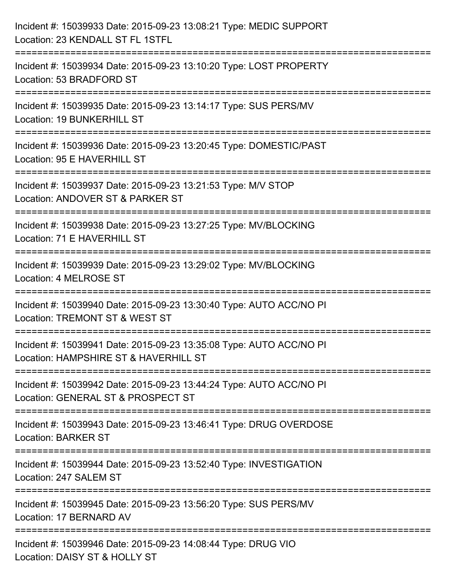| Incident #: 15039933 Date: 2015-09-23 13:08:21 Type: MEDIC SUPPORT<br>Location: 23 KENDALL ST FL 1STFL                                                  |
|---------------------------------------------------------------------------------------------------------------------------------------------------------|
| :==============================<br>Incident #: 15039934 Date: 2015-09-23 13:10:20 Type: LOST PROPERTY<br>Location: 53 BRADFORD ST                       |
| Incident #: 15039935 Date: 2015-09-23 13:14:17 Type: SUS PERS/MV<br>Location: 19 BUNKERHILL ST<br>=============================                         |
| Incident #: 15039936 Date: 2015-09-23 13:20:45 Type: DOMESTIC/PAST<br>Location: 95 E HAVERHILL ST                                                       |
| Incident #: 15039937 Date: 2015-09-23 13:21:53 Type: M/V STOP<br>Location: ANDOVER ST & PARKER ST<br>:============================                      |
| Incident #: 15039938 Date: 2015-09-23 13:27:25 Type: MV/BLOCKING<br>Location: 71 E HAVERHILL ST                                                         |
| :===================<br>Incident #: 15039939 Date: 2015-09-23 13:29:02 Type: MV/BLOCKING<br>Location: 4 MELROSE ST<br>================================= |
| Incident #: 15039940 Date: 2015-09-23 13:30:40 Type: AUTO ACC/NO PI<br>Location: TREMONT ST & WEST ST                                                   |
| Incident #: 15039941 Date: 2015-09-23 13:35:08 Type: AUTO ACC/NO PI<br>Location: HAMPSHIRE ST & HAVERHILL ST                                            |
| Incident #: 15039942 Date: 2015-09-23 13:44:24 Type: AUTO ACC/NO PI<br>Location: GENERAL ST & PROSPECT ST                                               |
| Incident #: 15039943 Date: 2015-09-23 13:46:41 Type: DRUG OVERDOSE<br><b>Location: BARKER ST</b>                                                        |
| Incident #: 15039944 Date: 2015-09-23 13:52:40 Type: INVESTIGATION<br>Location: 247 SALEM ST                                                            |
| Incident #: 15039945 Date: 2015-09-23 13:56:20 Type: SUS PERS/MV<br>Location: 17 BERNARD AV                                                             |
| Incident #: 15039946 Date: 2015-09-23 14:08:44 Type: DRUG VIO<br>Location: DAISY ST & HOLLY ST                                                          |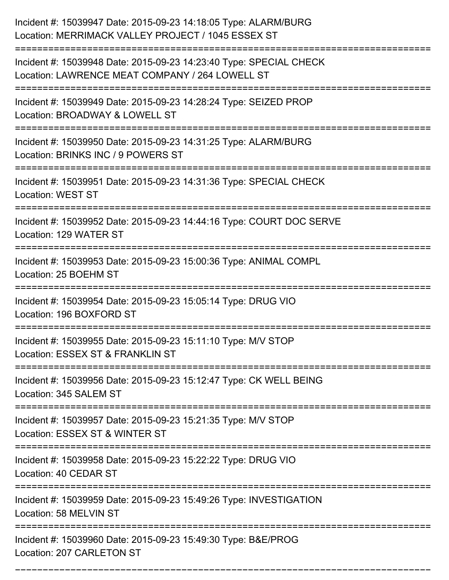| Incident #: 15039947 Date: 2015-09-23 14:18:05 Type: ALARM/BURG<br>Location: MERRIMACK VALLEY PROJECT / 1045 ESSEX ST |
|-----------------------------------------------------------------------------------------------------------------------|
| Incident #: 15039948 Date: 2015-09-23 14:23:40 Type: SPECIAL CHECK<br>Location: LAWRENCE MEAT COMPANY / 264 LOWELL ST |
| Incident #: 15039949 Date: 2015-09-23 14:28:24 Type: SEIZED PROP<br>Location: BROADWAY & LOWELL ST                    |
| Incident #: 15039950 Date: 2015-09-23 14:31:25 Type: ALARM/BURG<br>Location: BRINKS INC / 9 POWERS ST                 |
| Incident #: 15039951 Date: 2015-09-23 14:31:36 Type: SPECIAL CHECK<br><b>Location: WEST ST</b>                        |
| Incident #: 15039952 Date: 2015-09-23 14:44:16 Type: COURT DOC SERVE<br>Location: 129 WATER ST                        |
| Incident #: 15039953 Date: 2015-09-23 15:00:36 Type: ANIMAL COMPL<br>Location: 25 BOEHM ST                            |
| Incident #: 15039954 Date: 2015-09-23 15:05:14 Type: DRUG VIO<br>Location: 196 BOXFORD ST                             |
| Incident #: 15039955 Date: 2015-09-23 15:11:10 Type: M/V STOP<br>Location: ESSEX ST & FRANKLIN ST                     |
| Incident #: 15039956 Date: 2015-09-23 15:12:47 Type: CK WELL BEING<br>Location: 345 SALEM ST                          |
| Incident #: 15039957 Date: 2015-09-23 15:21:35 Type: M/V STOP<br>Location: ESSEX ST & WINTER ST                       |
| Incident #: 15039958 Date: 2015-09-23 15:22:22 Type: DRUG VIO<br>Location: 40 CEDAR ST                                |
| Incident #: 15039959 Date: 2015-09-23 15:49:26 Type: INVESTIGATION<br>Location: 58 MELVIN ST                          |
| Incident #: 15039960 Date: 2015-09-23 15:49:30 Type: B&E/PROG<br>Location: 207 CARLETON ST                            |

===========================================================================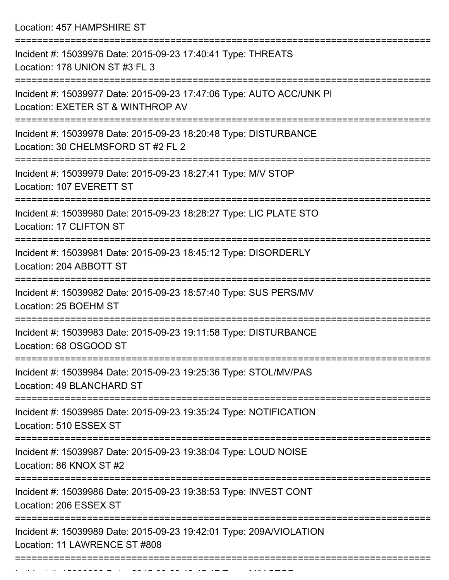Location: 457 HAMPSHIRE ST

| Incident #: 15039976 Date: 2015-09-23 17:40:41 Type: THREATS<br>Location: 178 UNION ST #3 FL 3                        |
|-----------------------------------------------------------------------------------------------------------------------|
| Incident #: 15039977 Date: 2015-09-23 17:47:06 Type: AUTO ACC/UNK PI<br>Location: EXETER ST & WINTHROP AV             |
| Incident #: 15039978 Date: 2015-09-23 18:20:48 Type: DISTURBANCE<br>Location: 30 CHELMSFORD ST #2 FL 2                |
| Incident #: 15039979 Date: 2015-09-23 18:27:41 Type: M/V STOP<br>Location: 107 EVERETT ST                             |
| Incident #: 15039980 Date: 2015-09-23 18:28:27 Type: LIC PLATE STO<br>Location: 17 CLIFTON ST                         |
| Incident #: 15039981 Date: 2015-09-23 18:45:12 Type: DISORDERLY<br>Location: 204 ABBOTT ST                            |
| Incident #: 15039982 Date: 2015-09-23 18:57:40 Type: SUS PERS/MV<br>Location: 25 BOEHM ST                             |
| Incident #: 15039983 Date: 2015-09-23 19:11:58 Type: DISTURBANCE<br>Location: 68 OSGOOD ST                            |
| Incident #: 15039984 Date: 2015-09-23 19:25:36 Type: STOL/MV/PAS<br>Location: 49 BLANCHARD ST                         |
| :=====================<br>Incident #: 15039985 Date: 2015-09-23 19:35:24 Type: NOTIFICATION<br>Location: 510 ESSEX ST |
| Incident #: 15039987 Date: 2015-09-23 19:38:04 Type: LOUD NOISE<br>Location: 86 KNOX ST #2                            |
| Incident #: 15039986 Date: 2015-09-23 19:38:53 Type: INVEST CONT<br>Location: 206 ESSEX ST                            |
| Incident #: 15039989 Date: 2015-09-23 19:42:01 Type: 209A/VIOLATION<br>Location: 11 LAWRENCE ST #808                  |
|                                                                                                                       |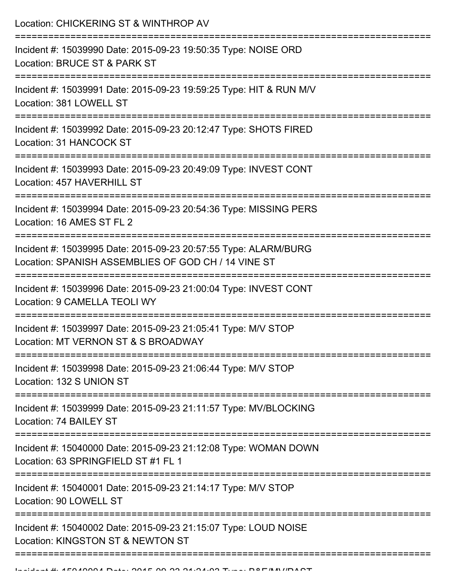| Incident #: 15039990 Date: 2015-09-23 19:50:35 Type: NOISE ORD<br>Location: BRUCE ST & PARK ST<br>Incident #: 15039991 Date: 2015-09-23 19:59:25 Type: HIT & RUN M/V<br>Location: 381 LOWELL ST<br>Incident #: 15039992 Date: 2015-09-23 20:12:47 Type: SHOTS FIRED<br>Location: 31 HANCOCK ST<br>Incident #: 15039993 Date: 2015-09-23 20:49:09 Type: INVEST CONT<br>Location: 457 HAVERHILL ST<br>Incident #: 15039994 Date: 2015-09-23 20:54:36 Type: MISSING PERS<br>Location: 16 AMES ST FL 2<br>Incident #: 15039995 Date: 2015-09-23 20:57:55 Type: ALARM/BURG<br>Location: SPANISH ASSEMBLIES OF GOD CH / 14 VINE ST<br>======================<br>Incident #: 15039996 Date: 2015-09-23 21:00:04 Type: INVEST CONT<br>Location: 9 CAMELLA TEOLI WY<br>Incident #: 15039997 Date: 2015-09-23 21:05:41 Type: M/V STOP<br>Location: MT VERNON ST & S BROADWAY<br>Incident #: 15039998 Date: 2015-09-23 21:06:44 Type: M/V STOP<br>Location: 132 S UNION ST |
|-----------------------------------------------------------------------------------------------------------------------------------------------------------------------------------------------------------------------------------------------------------------------------------------------------------------------------------------------------------------------------------------------------------------------------------------------------------------------------------------------------------------------------------------------------------------------------------------------------------------------------------------------------------------------------------------------------------------------------------------------------------------------------------------------------------------------------------------------------------------------------------------------------------------------------------------------------------------|
|                                                                                                                                                                                                                                                                                                                                                                                                                                                                                                                                                                                                                                                                                                                                                                                                                                                                                                                                                                 |
|                                                                                                                                                                                                                                                                                                                                                                                                                                                                                                                                                                                                                                                                                                                                                                                                                                                                                                                                                                 |
|                                                                                                                                                                                                                                                                                                                                                                                                                                                                                                                                                                                                                                                                                                                                                                                                                                                                                                                                                                 |
|                                                                                                                                                                                                                                                                                                                                                                                                                                                                                                                                                                                                                                                                                                                                                                                                                                                                                                                                                                 |
|                                                                                                                                                                                                                                                                                                                                                                                                                                                                                                                                                                                                                                                                                                                                                                                                                                                                                                                                                                 |
|                                                                                                                                                                                                                                                                                                                                                                                                                                                                                                                                                                                                                                                                                                                                                                                                                                                                                                                                                                 |
|                                                                                                                                                                                                                                                                                                                                                                                                                                                                                                                                                                                                                                                                                                                                                                                                                                                                                                                                                                 |
|                                                                                                                                                                                                                                                                                                                                                                                                                                                                                                                                                                                                                                                                                                                                                                                                                                                                                                                                                                 |
|                                                                                                                                                                                                                                                                                                                                                                                                                                                                                                                                                                                                                                                                                                                                                                                                                                                                                                                                                                 |
| Incident #: 15039999 Date: 2015-09-23 21:11:57 Type: MV/BLOCKING<br>Location: 74 BAILEY ST                                                                                                                                                                                                                                                                                                                                                                                                                                                                                                                                                                                                                                                                                                                                                                                                                                                                      |
| Incident #: 15040000 Date: 2015-09-23 21:12:08 Type: WOMAN DOWN<br>Location: 63 SPRINGFIELD ST #1 FL 1                                                                                                                                                                                                                                                                                                                                                                                                                                                                                                                                                                                                                                                                                                                                                                                                                                                          |
| Incident #: 15040001 Date: 2015-09-23 21:14:17 Type: M/V STOP<br>Location: 90 LOWELL ST                                                                                                                                                                                                                                                                                                                                                                                                                                                                                                                                                                                                                                                                                                                                                                                                                                                                         |
| Incident #: 15040002 Date: 2015-09-23 21:15:07 Type: LOUD NOISE<br>Location: KINGSTON ST & NEWTON ST                                                                                                                                                                                                                                                                                                                                                                                                                                                                                                                                                                                                                                                                                                                                                                                                                                                            |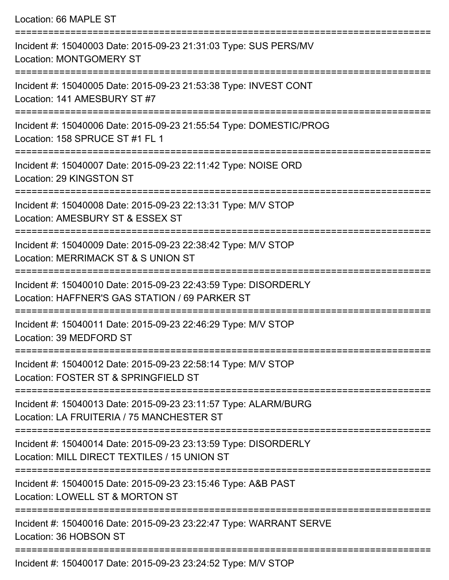Location: 66 MAPLE ST =========================================================================== Incident #: 15040003 Date: 2015-09-23 21:31:03 Type: SUS PERS/MV Location: MONTGOMERY ST =========================================================================== Incident #: 15040005 Date: 2015-09-23 21:53:38 Type: INVEST CONT Location: 141 AMESBURY ST #7 =========================================================================== Incident #: 15040006 Date: 2015-09-23 21:55:54 Type: DOMESTIC/PROG Location: 158 SPRUCE ST #1 FL 1 =========================================================================== Incident #: 15040007 Date: 2015-09-23 22:11:42 Type: NOISE ORD Location: 29 KINGSTON ST =========================================================================== Incident #: 15040008 Date: 2015-09-23 22:13:31 Type: M/V STOP Location: AMESBURY ST & ESSEX ST =========================================================================== Incident #: 15040009 Date: 2015-09-23 22:38:42 Type: M/V STOP Location: MERRIMACK ST & S UNION ST =========================================================================== Incident #: 15040010 Date: 2015-09-23 22:43:59 Type: DISORDERLY Location: HAFFNER'S GAS STATION / 69 PARKER ST =========================================================================== Incident #: 15040011 Date: 2015-09-23 22:46:29 Type: M/V STOP Location: 39 MEDFORD ST =========================================================================== Incident #: 15040012 Date: 2015-09-23 22:58:14 Type: M/V STOP Location: FOSTER ST & SPRINGFIELD ST =========================================================================== Incident #: 15040013 Date: 2015-09-23 23:11:57 Type: ALARM/BURG Location: LA FRUITERIA / 75 MANCHESTER ST =========================================================================== Incident #: 15040014 Date: 2015-09-23 23:13:59 Type: DISORDERLY Location: MILL DIRECT TEXTILES / 15 UNION ST =========================================================================== Incident #: 15040015 Date: 2015-09-23 23:15:46 Type: A&B PAST Location: LOWELL ST & MORTON ST =========================================================================== Incident #: 15040016 Date: 2015-09-23 23:22:47 Type: WARRANT SERVE Location: 36 HOBSON ST ===========================================================================

Incident #: 15040017 Date: 2015-09-23 23:24:52 Type: M/V STOP